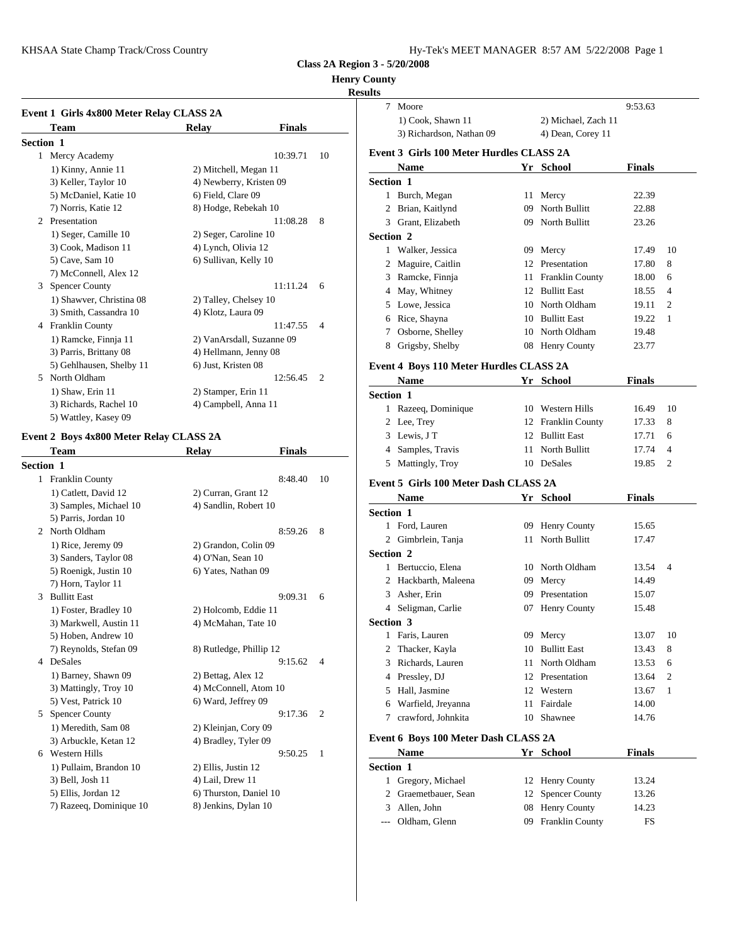KHSAA State Champ Track/Cross Country Hy-Tek's Manager and Tracking Manager 8:57 AM 57 AM 57 AM 57 AM 57 AM 57 AM 57 AM 57 AM 57 AM 57 AM 57 AM 57 AM 57 AM 57 AM 57 AM 57 AM 57 AM 57 AM 57 AM 57 AM 57 AM 57 AM 57 AM 57 AM

| Hy-Tek's MEET MANAGER 8:57 AM 5/22/2008 Page 1 |  |  |  |  |
|------------------------------------------------|--|--|--|--|
|------------------------------------------------|--|--|--|--|

**Class 2A Region 3 - 5/20/2008**

## **Henry C**

## **Resu**

|                  | Event 1 Girls 4x800 Meter Relay CLASS 2A |                         |                           |                |              | Moor         |
|------------------|------------------------------------------|-------------------------|---------------------------|----------------|--------------|--------------|
|                  | Team                                     | Relay                   | <b>Finals</b>             |                |              | $1)$ Co      |
| <b>Section 1</b> |                                          |                         |                           |                |              | $3)$ Ric     |
|                  | 1 Mercy Academy                          |                         | 10:39.71                  | 10             | Event 3 Gi   |              |
|                  | 1) Kinny, Annie 11                       | 2) Mitchell, Megan 11   |                           |                |              | <b>Nam</b>   |
|                  | 3) Keller, Taylor 10                     | 4) Newberry, Kristen 09 |                           |                | Section 1    |              |
|                  | 5) McDaniel, Katie 10                    | 6) Field, Clare 09      |                           |                | $\mathbf{1}$ | <b>Burch</b> |
|                  | 7) Norris, Katie 12                      | 8) Hodge, Rebekah 10    |                           |                |              | Brian        |
|                  | 2 Presentation                           |                         | 11:08.28                  | 8              | 3            | Grant        |
|                  | 1) Seger, Camille 10                     | 2) Seger, Caroline 10   |                           |                | Section 2    |              |
|                  | 3) Cook, Madison 11                      | 4) Lynch, Olivia 12     |                           |                | 1            | Walk         |
|                  | 5) Cave, Sam 10                          | 6) Sullivan, Kelly 10   |                           |                | 2            | Magu         |
|                  | 7) McConnell, Alex 12                    |                         |                           |                |              | Ramc         |
| 3                | <b>Spencer County</b>                    |                         | 11:11.24                  | 6              | 4            | May,         |
|                  | 1) Shawver, Christina 08                 | 2) Talley, Chelsey 10   |                           |                | 5            | Lowe         |
|                  | 3) Smith, Cassandra 10                   | 4) Klotz, Laura 09      |                           |                | 6            | Rice,        |
|                  | 4 Franklin County                        |                         | 11:47.55                  | $\overline{4}$ |              |              |
|                  | 1) Ramcke, Finnja 11                     |                         | 2) VanArsdall, Suzanne 09 |                |              | Osbor        |
|                  | 3) Parris, Brittany 08                   | 4) Hellmann, Jenny 08   |                           |                | 8            | Grigs        |
|                  | 5) Gehlhausen, Shelby 11                 | 6) Just, Kristen 08     |                           |                | Event 4 Bo   |              |
| 5                | North Oldham                             |                         | 12:56.45                  | $\overline{c}$ |              | <b>Nam</b>   |
|                  | 1) Shaw, Erin 11                         | 2) Stamper, Erin 11     |                           |                | Section 1    |              |
|                  | 3) Richards, Rachel 10                   | 4) Campbell, Anna 11    |                           |                |              | 1 Razee      |
|                  | 5) Wattley, Kasey 09                     |                         |                           |                |              | $2.1$ co $7$ |

# **Event 2 Boys 4x800 Meter Relay CLASS 2A**

|                  | Team                    | <b>Relay</b>            | <b>Finals</b> |                | 4          | Samp       |
|------------------|-------------------------|-------------------------|---------------|----------------|------------|------------|
| <b>Section 1</b> |                         |                         |               |                | 5          | Matti      |
| 1                | <b>Franklin County</b>  |                         | 8:48.40       | 10             | Event 5 Gi |            |
|                  | 1) Catlett, David 12    | 2) Curran, Grant 12     |               |                |            | <b>Nam</b> |
|                  | 3) Samples, Michael 10  | 4) Sandlin, Robert 10   |               |                | Section 1  |            |
|                  | 5) Parris, Jordan 10    |                         |               |                | 1          |            |
|                  | 2 North Oldham          |                         | 8:59.26       | 8              |            | Ford.      |
|                  | 1) Rice, Jeremy 09      | 2) Grandon, Colin 09    |               |                | 2          | Gimb       |
|                  | 3) Sanders, Taylor 08   | 4) O'Nan, Sean 10       |               |                | Section 2  |            |
|                  | 5) Roenigk, Justin 10   | 6) Yates, Nathan 09     |               |                | 1          | Bertu      |
|                  | 7) Horn, Taylor 11      |                         |               |                | 2          | Hackl      |
| 3                | <b>Bullitt East</b>     |                         | 9:09.31       | 6              | 3          | Asher      |
|                  | 1) Foster, Bradley 10   | 2) Holcomb, Eddie 11    |               |                | 4          | Seligi     |
|                  | 3) Markwell, Austin 11  | 4) McMahan, Tate 10     |               |                | Section 3  |            |
|                  | 5) Hoben, Andrew 10     |                         |               |                | 1          | Faris,     |
|                  | 7) Reynolds, Stefan 09  | 8) Rutledge, Phillip 12 |               |                | 2          | Thack      |
|                  | 4 DeSales               |                         | 9:15.62       | $\overline{4}$ | 3          | Richa      |
|                  | 1) Barney, Shawn 09     | 2) Bettag, Alex 12      |               |                | 4          | Pressl     |
|                  | 3) Mattingly, Troy 10   | 4) McConnell, Atom 10   |               |                | 5          | Hall,      |
|                  | 5) Vest, Patrick 10     | 6) Ward, Jeffrey 09     |               |                | 6          | Warfi      |
| 5                | <b>Spencer County</b>   |                         | 9:17.36       | $\overline{2}$ | 7          | crawf      |
|                  | 1) Meredith, Sam 08     | 2) Kleinjan, Cory 09    |               |                |            |            |
|                  | 3) Arbuckle, Ketan 12   | 4) Bradley, Tyler 09    |               |                | Event 6 Bo |            |
| 6                | <b>Western Hills</b>    |                         | 9:50.25       | 1              |            | <b>Nam</b> |
|                  | 1) Pullaim, Brandon 10  | 2) Ellis, Justin 12     |               |                | Section 1  |            |
|                  | 3) Bell, Josh 11        | 4) Lail, Drew 11        |               |                |            | Grego      |
|                  | 5) Ellis, Jordan 12     | 6) Thurston, Daniel 10  |               |                | 2          | Graer      |
|                  | 7) Razeeq, Dominique 10 | 8) Jenkins, Dylan 10    |               |                | 3          | Allen      |
|                  |                         |                         |               |                |            |            |

| County           |                                          |    |                       |               |                |
|------------------|------------------------------------------|----|-----------------------|---------------|----------------|
| ults             | 7 Moore                                  |    |                       | 9:53.63       |                |
|                  | 1) Cook, Shawn 11                        |    | 2) Michael, Zach 11   |               |                |
|                  | 3) Richardson, Nathan 09                 |    | 4) Dean, Corey 11     |               |                |
|                  | Event 3 Girls 100 Meter Hurdles CLASS 2A |    |                       |               |                |
|                  | <b>Name</b>                              |    | Yr School             | Finals        |                |
| <b>Section 1</b> |                                          |    |                       |               |                |
|                  | 1 Burch, Megan                           |    | 11 Mercy              | 22.39         |                |
|                  | 2 Brian, Kaitlynd                        |    | 09 North Bullitt      | 22.88         |                |
|                  | 3 Grant, Elizabeth                       |    | 09 North Bullitt      | 23.26         |                |
| <b>Section 2</b> |                                          |    |                       |               |                |
|                  | 1 Walker, Jessica                        |    | 09 Mercy              | 17.49         | 10             |
|                  | 2 Maguire, Caitlin                       |    | 12 Presentation       | 17.80         | 8              |
|                  | 3 Ramcke, Finnja                         |    | 11 Franklin County    | 18.00         | 6              |
|                  | 4 May, Whitney                           |    | 12 Bullitt East       | 18.55         | $\overline{4}$ |
|                  | 5 Lowe, Jessica                          |    | 10 North Oldham       | 19.11         | 2              |
|                  | 6 Rice, Shayna                           |    | 10 Bullitt East       | 19.22         | 1              |
|                  | 7 Osborne, Shelley                       |    | 10 North Oldham       | 19.48         |                |
|                  | 8 Grigsby, Shelby                        |    | 08 Henry County       | 23.77         |                |
|                  |                                          |    |                       |               |                |
|                  | Event 4 Boys 110 Meter Hurdles CLASS 2A  |    |                       |               |                |
|                  | Name                                     |    | Yr School             | <b>Finals</b> |                |
| <b>Section 1</b> |                                          |    |                       |               |                |
|                  | 1 Razeeq, Dominique                      |    | 10 Western Hills      | 16.49         | 10             |
|                  | 2 Lee, Trey                              |    | 12 Franklin County    | 17.33         | 8              |
|                  | 3 Lewis, JT                              |    | 12 Bullitt East       | 17.71         | 6              |
|                  | 4 Samples, Travis                        |    | 11 North Bullitt      | 17.74         | 4              |
|                  | 5 Mattingly, Troy                        |    | 10 DeSales            | 19.85         | 2              |
|                  | Event 5 Girls 100 Meter Dash CLASS 2A    |    |                       |               |                |
|                  | Name                                     |    | Yr School             | Finals        |                |
| <b>Section 1</b> |                                          |    |                       |               |                |
|                  | 1 Ford, Lauren                           |    | 09 Henry County       | 15.65         |                |
|                  | 2 Gimbrlein, Tanja                       |    | 11 North Bullitt      | 17.47         |                |
| <b>Section 2</b> |                                          |    |                       |               |                |
|                  | 1 Bertuccio, Elena                       |    | 10 North Oldham       | 13.54         | 4              |
|                  | 2 Hackbarth, Maleena                     |    | 09 Mercy              | 14.49         |                |
|                  | 3 Asher, Erin                            |    | 09 Presentation       | 15.07         |                |
|                  | 4 Seligman, Carlie                       |    | 07 Henry County       | 15.48         |                |
| Section 3        |                                          |    |                       |               |                |
|                  | 1 Faris, Lauren                          |    | 09 Mercy              | 13.07         | 10             |
|                  | 2 Thacker, Kayla                         | 10 | <b>Bullitt East</b>   | 13.43         | 8              |
|                  | 3 Richards, Lauren                       |    | 11 North Oldham       | 13.53         | 6              |
|                  | 4 Pressley, DJ                           |    | 12 Presentation       | 13.64         | 2              |
|                  | 5 Hall, Jasmine                          |    | 12 Western            | 13.67         | $\mathbf{1}$   |
|                  | 6 Warfield, Jreyanna                     | 11 | Fairdale              | 14.00         |                |
|                  | 7 crawford, Johnkita                     |    | 10 Shawnee            | 14.76         |                |
|                  | Event 6 Boys 100 Meter Dash CLASS 2A     |    |                       |               |                |
|                  | Name                                     |    | Yr School             | Finals        |                |
| Section 1        |                                          |    |                       |               |                |
|                  | 1 Gregory, Michael                       | 12 | Henry County          | 13.24         |                |
| $\overline{2}$   | Graemetbauer, Sean                       | 12 | <b>Spencer County</b> | 13.26         |                |
| 3                | Allen, John                              | 08 | Henry County          | 14.23         |                |
| $---$            | Oldham, Glenn                            | 09 | Franklin County       |               |                |
|                  |                                          |    |                       | FS            |                |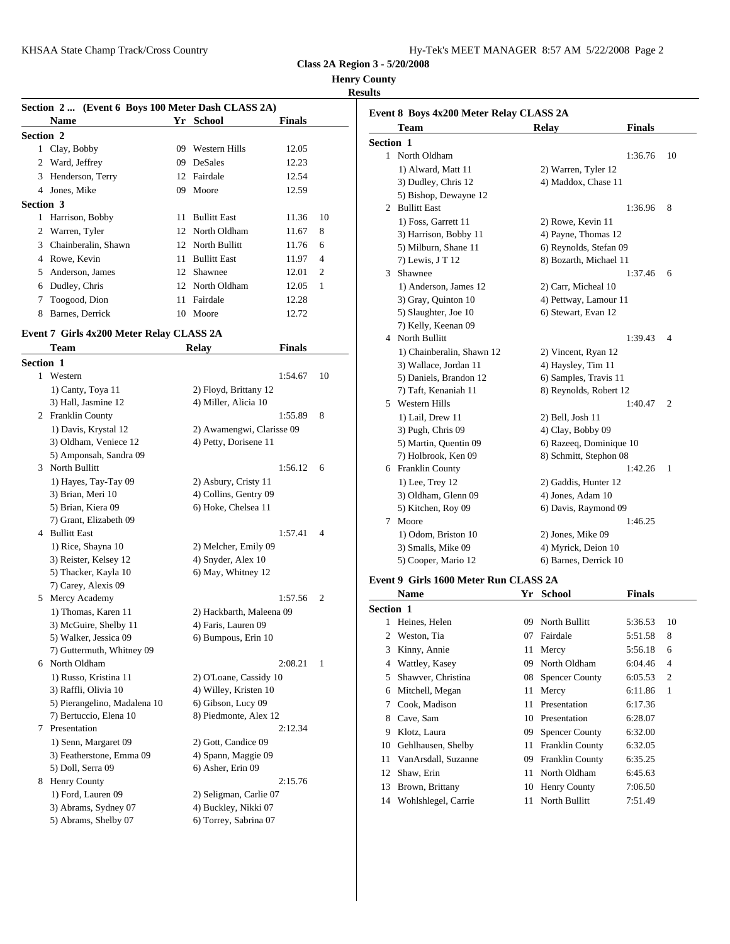| Hy-Tek's MEET MANAGER 8:57 AM 5/22/2008 Page 2 |  |  |  |
|------------------------------------------------|--|--|--|
|------------------------------------------------|--|--|--|

**Henry County**

# **Results**

| Section 2  (Event 6 Boys 100 Meter Dash CLASS 2A) |                     |    |                     |               |                |                     |
|---------------------------------------------------|---------------------|----|---------------------|---------------|----------------|---------------------|
|                                                   | Name                |    | Yr School           | <b>Finals</b> |                | Event 8 Bo<br>Tean  |
| Section 2                                         |                     |    |                     |               |                |                     |
|                                                   | 1 Clay, Bobby       | 09 | Western Hills       | 12.05         |                | <b>Section 1</b>    |
| 2                                                 | Ward, Jeffrey       |    | 09 DeSales          | 12.23         |                | North               |
| 3                                                 | Henderson, Terry    |    | 12 Fairdale         | 12.54         |                | $1)$ Al             |
| 4                                                 | Jones, Mike         |    | 09 Moore            | 12.59         |                | $3)$ Du<br>$5)$ Bis |
| Section 3                                         |                     |    |                     |               |                | Bullit<br>2         |
|                                                   | Harrison, Bobby     | 11 | <b>Bullitt East</b> | 11.36         | 10             | 1) Fo               |
|                                                   | 2 Warren, Tyler     |    | 12 North Oldham     | 11.67         | 8              | 3) Ha               |
| 3                                                 | Chainberalin, Shawn |    | 12 North Bullitt    | 11.76         | 6              | 5) Mi               |
| 4                                                 | Rowe, Kevin         | 11 | <b>Bullitt East</b> | 11.97         | $\overline{4}$ | $7)$ Le             |
| 5.                                                | Anderson, James     |    | 12 Shawnee          | 12.01         | $\overline{2}$ | <b>Shaw</b><br>3    |
| 6                                                 | Dudley, Chris       |    | 12 North Oldham     | 12.05         | 1              | 1) An               |
| 7                                                 | Toogood, Dion       |    | 11 Fairdale         | 12.28         |                | $3)$ Gra            |
| 8                                                 | Barnes, Derrick     |    | 10 Moore            | 12.72         |                | 5) Sla              |

**Team Relay Finals**

# **Event 7 Girls 4x200 Meter Relay CLASS 2A**

|           |                              |                           |                |                | -, ---      |
|-----------|------------------------------|---------------------------|----------------|----------------|-------------|
| Section 1 |                              |                           |                |                | $3)$ Wa     |
|           | 1 Western                    | 1:54.67                   | 10             |                | 5) Da       |
|           | 1) Canty, Toya 11            | 2) Floyd, Brittany 12     |                |                | 7) Tai      |
|           | 3) Hall, Jasmine 12          | 4) Miller, Alicia 10      |                |                | 5 Weste     |
|           | 2 Franklin County            | 1:55.89                   | 8              |                | $1)$ La     |
|           | 1) Davis, Krystal 12         | 2) Awamengwi, Clarisse 09 |                |                | $3)$ Pus    |
|           | 3) Oldham, Veniece 12        | 4) Petty, Dorisene 11     |                |                | $5)$ Ma     |
|           | 5) Amponsah, Sandra 09       |                           |                |                | 7) Ho       |
|           | 3 North Bullitt              | 1:56.12                   | 6              |                | 6 Frank     |
|           | 1) Hayes, Tay-Tay 09         | 2) Asbury, Cristy 11      |                |                | $1)$ Le     |
|           | 3) Brian, Meri 10            | 4) Collins, Gentry 09     |                |                | $3)$ Olo    |
|           | 5) Brian, Kiera 09           | 6) Hoke, Chelsea 11       |                |                | 5) Kit      |
|           | 7) Grant, Elizabeth 09       |                           |                | 7              | Moor        |
|           | 4 Bullitt East               | 1:57.41                   | $\overline{4}$ |                | $1)$ Od     |
|           | 1) Rice, Shayna 10           | 2) Melcher, Emily 09      |                |                | $3)$ Sm     |
|           | 3) Reister, Kelsey 12        | 4) Snyder, Alex 10        |                |                | 5) Co       |
|           | 5) Thacker, Kayla 10         | 6) May, Whitney 12        |                | Event 9 Gi     |             |
|           | 7) Carey, Alexis 09          |                           |                |                |             |
|           | 5 Mercy Academy              | 1:57.56                   | $\overline{c}$ |                | Nam         |
|           | 1) Thomas, Karen 11          | 2) Hackbarth, Maleena 09  |                | Section 1      |             |
|           | 3) McGuire, Shelby 11        | 4) Faris, Lauren 09       |                | 1              | Heine       |
|           | 5) Walker, Jessica 09        | 6) Bumpous, Erin 10       |                | $\overline{c}$ | Westo       |
|           | 7) Guttermuth, Whitney 09    |                           |                | 3              | Kinny       |
|           | 6 North Oldham               | 2:08.21                   | 1              |                | 4 Wattl     |
|           | 1) Russo, Kristina 11        | 2) O'Loane, Cassidy 10    |                | 5              | Shaw        |
|           | 3) Raffli, Olivia 10         | 4) Willey, Kristen 10     |                | 6              | Mitch       |
|           | 5) Pierangelino, Madalena 10 | 6) Gibson, Lucy 09        |                | 7              | Cook.       |
|           | 7) Bertuccio, Elena 10       | 8) Piedmonte, Alex 12     |                | 8              | Cave,       |
|           | 7 Presentation               | 2:12.34                   |                | 9              | Klotz       |
|           | 1) Senn, Margaret 09         | 2) Gott, Candice 09       |                | 10             | Gehlh       |
|           | 3) Featherstone, Emma 09     | 4) Spann, Maggie 09       |                | 11             | VanA        |
|           | 5) Doll, Serra 09            | 6) Asher, Erin 09         |                | 12             | Shaw        |
|           | 8 Henry County               | 2:15.76                   |                |                |             |
|           | 1) Ford, Lauren 09           | 2) Seligman, Carlie 07    |                | 13             | <b>Brow</b> |
|           | 3) Abrams, Sydney 07         | 4) Buckley, Nikki 07      |                | 14             | Wohl        |
|           | 5) Abrams, Shelby 07         | 6) Torrey, Sabrina 07     |                |                |             |

|           | Event 8 Boys 4x200 Meter Relay CLASS 2A |                         |         |                |
|-----------|-----------------------------------------|-------------------------|---------|----------------|
|           | Team                                    | <b>Relay</b>            | Finals  |                |
| Section 1 |                                         |                         |         |                |
|           | 1 North Oldham                          |                         | 1:36.76 | 10             |
|           | 1) Alward, Matt 11                      | 2) Warren, Tyler 12     |         |                |
|           | 3) Dudley, Chris 12                     | 4) Maddox, Chase 11     |         |                |
|           | 5) Bishop, Dewayne 12                   |                         |         |                |
|           | 2 Bullitt East                          |                         | 1:36.96 | 8              |
|           | 1) Foss, Garrett 11                     | 2) Rowe, Kevin 11       |         |                |
|           | 3) Harrison, Bobby 11                   | 4) Payne, Thomas 12     |         |                |
|           | 5) Milburn, Shane 11                    | 6) Reynolds, Stefan 09  |         |                |
|           | 7) Lewis, J T 12                        | 8) Bozarth, Michael 11  |         |                |
| 3.        | Shawnee                                 |                         | 1:37.46 | 6              |
|           | 1) Anderson, James 12                   | 2) Carr, Micheal 10     |         |                |
|           | 3) Gray, Quinton 10                     | 4) Pettway, Lamour 11   |         |                |
|           | 5) Slaughter, Joe 10                    | 6) Stewart, Evan 12     |         |                |
|           | 7) Kelly, Keenan 09                     |                         |         |                |
|           | 4 North Bullitt                         |                         | 1:39.43 | $\overline{4}$ |
|           | 1) Chainberalin, Shawn 12               | 2) Vincent, Ryan 12     |         |                |
|           | 3) Wallace, Jordan 11                   | 4) Haysley, Tim 11      |         |                |
|           | 5) Daniels, Brandon 12                  | 6) Samples, Travis 11   |         |                |
|           | 7) Taft, Kenaniah 11                    | 8) Reynolds, Robert 12  |         |                |
| 5.        | Western Hills                           |                         | 1:40.47 | 2              |
|           | 1) Lail, Drew 11                        | 2) Bell, Josh 11        |         |                |
|           | 3) Pugh, Chris 09                       | 4) Clay, Bobby 09       |         |                |
|           | 5) Martin, Quentin 09                   | 6) Razeeq, Dominique 10 |         |                |
|           | 7) Holbrook, Ken 09                     | 8) Schmitt, Stephon 08  |         |                |
|           | 6 Franklin County                       |                         | 1:42.26 | 1              |
|           | 1) Lee, Trey 12                         | 2) Gaddis, Hunter 12    |         |                |
|           | 3) Oldham, Glenn 09                     | 4) Jones, Adam 10       |         |                |
|           | 5) Kitchen, Roy 09                      | 6) Davis, Raymond 09    |         |                |
| 7         | Moore                                   |                         | 1:46.25 |                |
|           | 1) Odom, Briston 10                     | 2) Jones, Mike 09       |         |                |
|           | 3) Smalls, Mike 09                      | 4) Myrick, Deion 10     |         |                |
|           | 5) Cooper, Mario 12                     | 6) Barnes, Derrick 10   |         |                |
|           |                                         |                         |         |                |

# **Event 9 Girls 1600 Meter Run CLASS 2A**

|           | <b>Name</b>         | Yr | School                 | <b>Finals</b> |                |
|-----------|---------------------|----|------------------------|---------------|----------------|
| Section 1 |                     |    |                        |               |                |
|           | Heines, Helen       | 09 | North Bullitt          | 5:36.53       | 10             |
| 2         | Weston, Tia         | 07 | Fairdale               | 5:51.58       | 8              |
| 3         | Kinny, Annie        | 11 | Mercy                  | 5:56.18       | 6              |
| 4         | Wattley, Kasey      | 09 | North Oldham           | 6:04.46       | 4              |
| 5         | Shawver, Christina  |    | 08 Spencer County      | 6:05.53       | 2              |
| 6         | Mitchell, Megan     |    | 11 Mercy               | 6:11.86       | $\overline{1}$ |
| 7         | Cook, Madison       | 11 | Presentation           | 6:17.36       |                |
| 8         | Cave, Sam           | 10 | Presentation           | 6:28.07       |                |
| 9         | Klotz, Laura        | 09 | <b>Spencer County</b>  | 6:32.00       |                |
| 10        | Gehlhausen, Shelby  | 11 | <b>Franklin County</b> | 6:32.05       |                |
| 11        | VanArsdall, Suzanne | 09 | <b>Franklin County</b> | 6:35.25       |                |
| 12        | Shaw, Erin          | 11 | North Oldham           | 6:45.63       |                |
| 13        | Brown, Brittany     | 10 | Henry County           | 7:06.50       |                |
| 14        | Wohlshlegel, Carrie | 11 | North Bullitt          | 7:51.49       |                |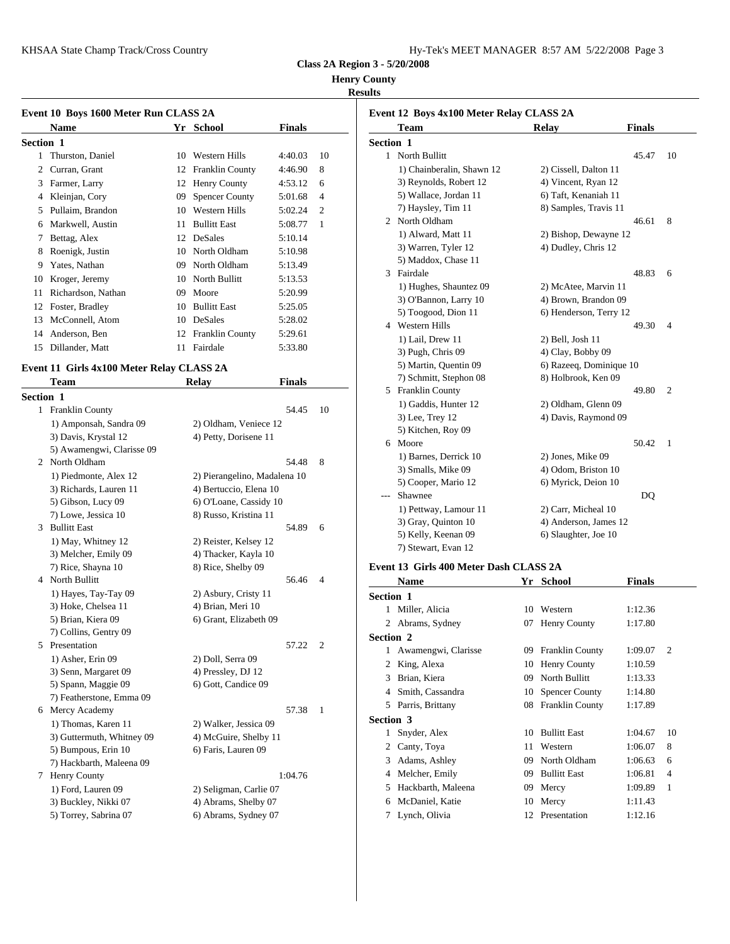| Hy-Tek's MEET MANAGER 8:57 AM 5/22/2008 Page 3 |  |  |  |
|------------------------------------------------|--|--|--|
|------------------------------------------------|--|--|--|

## **Henry County**

# **Results**

| Event 10 Boys 1600 Meter Run CLASS 2A | Event 12 B         |    |                       |         |                |                                     |
|---------------------------------------|--------------------|----|-----------------------|---------|----------------|-------------------------------------|
|                                       | <b>Name</b>        |    | Yr School             | Finals  |                | Tean                                |
| <b>Section 1</b>                      |                    |    |                       |         |                | <b>Section 1</b>                    |
|                                       | Thurston, Daniel   | 10 | Western Hills         | 4:40.03 | 10             | North<br>$\mathbf{1}$               |
| 2                                     | Curran, Grant      |    | 12 Franklin County    | 4:46.90 | 8              | $1)$ Ch                             |
| 3                                     | Farmer, Larry      |    | 12 Henry County       | 4:53.12 | 6              | $3)$ Re                             |
| 4                                     | Kleinjan, Cory     | 09 | <b>Spencer County</b> | 5:01.68 | $\overline{4}$ | 5) $W_8$                            |
| 5                                     | Pullaim, Brandon   | 10 | Western Hills         | 5:02.24 | $\overline{c}$ | 7) Ha                               |
| 6                                     | Markwell, Austin   | 11 | <b>Bullitt East</b>   | 5:08.77 | 1              | North<br>2                          |
| 7                                     | Bettag, Alex       | 12 | DeSales               | 5:10.14 |                | $1)$ Al                             |
| 8                                     | Roenigk, Justin    | 10 | North Oldham          | 5:10.98 |                | $3)$ Wa                             |
| 9                                     | Yates, Nathan      | 09 | North Oldham          | 5:13.49 |                | 5) Ma                               |
| 10                                    | Kroger, Jeremy     | 10 | North Bullitt         | 5:13.53 |                | Fairda<br>3                         |
| 11                                    | Richardson, Nathan | 09 | Moore                 | 5:20.99 |                | 1) Hu                               |
| 12                                    | Foster, Bradley    | 10 | <b>Bullitt East</b>   | 5:25.05 |                | 3) O'I                              |
| 13                                    | McConnell, Atom    | 10 | DeSales               | 5:28.02 |                | 5) To                               |
| 14                                    | Anderson, Ben      |    | 12 Franklin County    | 5:29.61 |                | Weste<br>4                          |
| 15                                    | Dillander, Matt    | 11 | Fairdale              | 5:33.80 |                | 1) La<br>$2 \Delta$ D <sub>11</sub> |

# **Event 11 Girls 4x100 Meter Relay CLASS 2A**

|           | <b>Team</b>               | <b>Relay</b>           | <b>Finals</b>                |                | 7) SCI                  |
|-----------|---------------------------|------------------------|------------------------------|----------------|-------------------------|
| Section 1 |                           |                        |                              |                | 5<br>Frank              |
|           | 1 Franklin County         |                        | 54.45                        | 10             | $1)$ Ga                 |
|           | 1) Amponsah, Sandra 09    | 2) Oldham, Veniece 12  |                              |                | $3)$ Lee                |
|           | 3) Davis, Krystal 12      | 4) Petty, Dorisene 11  |                              |                | 5) Kit                  |
|           | 5) Awamengwi, Clarisse 09 |                        |                              |                | 6 Moor                  |
|           | 2 North Oldham            |                        | 54.48                        | 8              | $1)$ Ba                 |
|           | 1) Piedmonte, Alex 12     |                        | 2) Pierangelino, Madalena 10 |                | $3)$ Sm                 |
|           | 3) Richards, Lauren 11    | 4) Bertuccio, Elena 10 |                              |                | $5)$ Co                 |
|           | 5) Gibson, Lucy 09        | 6) O'Loane, Cassidy 10 |                              |                | Shaw                    |
|           | 7) Lowe, Jessica 10       | 8) Russo, Kristina 11  |                              |                | $1)$ Pet                |
|           | 3 Bullitt East            |                        | 54.89                        | 6              | 3) Gra                  |
|           | 1) May, Whitney 12        | 2) Reister, Kelsey 12  |                              |                | 5) Ke                   |
|           | 3) Melcher, Emily 09      | 4) Thacker, Kayla 10   |                              |                | 7) Ste                  |
|           | 7) Rice, Shayna 10        | 8) Rice, Shelby 09     |                              |                | Event 13 G              |
|           | 4 North Bullitt           |                        | 56.46                        | $\overline{4}$ | Nam                     |
|           | 1) Hayes, Tay-Tay 09      | 2) Asbury, Cristy 11   |                              |                | Section 1               |
|           | 3) Hoke, Chelsea 11       | 4) Brian, Meri 10      |                              |                | Miller<br>1             |
|           | 5) Brian, Kiera 09        | 6) Grant, Elizabeth 09 |                              |                | $\overline{c}$<br>Abrar |
|           | 7) Collins, Gentry 09     |                        |                              |                | Section 2               |
|           | 5 Presentation            |                        | 57.22                        | $\overline{2}$ | 1<br>Awan               |
|           | 1) Asher, Erin 09         | 2) Doll, Serra 09      |                              |                | 2<br>King,              |
|           | 3) Senn, Margaret 09      | 4) Pressley, DJ 12     |                              |                | Brian<br>3              |
|           | 5) Spann, Maggie 09       | 6) Gott, Candice 09    |                              |                |                         |
|           | 7) Featherstone, Emma 09  |                        |                              |                | Smith<br>4              |
|           | 6 Mercy Academy           |                        | 57.38                        | $\mathbf{1}$   | 5<br>Parris             |
|           | 1) Thomas, Karen 11       | 2) Walker, Jessica 09  |                              |                | Section 3               |
|           | 3) Guttermuth, Whitney 09 | 4) McGuire, Shelby 11  |                              |                | 1<br>Snyde              |
|           | 5) Bumpous, Erin 10       | 6) Faris, Lauren 09    |                              |                | 2<br>Canty              |
|           | 7) Hackbarth, Maleena 09  |                        |                              |                | Adam<br>3               |
|           | 7 Henry County            |                        | 1:04.76                      |                | Melch<br>4              |
|           | 1) Ford, Lauren 09        | 2) Seligman, Carlie 07 |                              |                | Hackl<br>5              |
|           | 3) Buckley, Nikki 07      | 4) Abrams, Shelby 07   |                              |                | McDa<br>6               |
|           | 5) Torrey, Sabrina 07     | 6) Abrams, Sydney 07   |                              |                | Lynch<br>7              |

|                  | <b>Team</b>               | <b>Relay</b>            | <b>Finals</b> |                |
|------------------|---------------------------|-------------------------|---------------|----------------|
| <b>Section 1</b> |                           |                         |               |                |
|                  | 1 North Bullitt           |                         | 45.47         | 10             |
|                  | 1) Chainberalin, Shawn 12 | 2) Cissell, Dalton 11   |               |                |
|                  | 3) Reynolds, Robert 12    | 4) Vincent, Ryan 12     |               |                |
|                  | 5) Wallace, Jordan 11     | 6) Taft, Kenaniah 11    |               |                |
|                  | 7) Haysley, Tim 11        | 8) Samples, Travis 11   |               |                |
|                  | 2 North Oldham            |                         | 46.61         | 8              |
|                  | 1) Alward, Matt 11        | 2) Bishop, Dewayne 12   |               |                |
|                  | 3) Warren, Tyler 12       | 4) Dudley, Chris 12     |               |                |
|                  | 5) Maddox, Chase 11       |                         |               |                |
|                  | 3 Fairdale                |                         | 48.83         | 6              |
|                  | 1) Hughes, Shauntez 09    | 2) McAtee, Marvin 11    |               |                |
|                  | 3) O'Bannon, Larry 10     | 4) Brown, Brandon 09    |               |                |
|                  | 5) Toogood, Dion 11       | 6) Henderson, Terry 12  |               |                |
|                  | 4 Western Hills           |                         | 49.30         | 4              |
|                  | 1) Lail, Drew 11          | 2) Bell, Josh 11        |               |                |
|                  | 3) Pugh, Chris 09         | 4) Clay, Bobby 09       |               |                |
|                  | 5) Martin, Quentin 09     | 6) Razeeq, Dominique 10 |               |                |
|                  | 7) Schmitt, Stephon 08    | 8) Holbrook, Ken 09     |               |                |
|                  | 5 Franklin County         |                         | 49.80         | $\overline{2}$ |
|                  | 1) Gaddis, Hunter 12      | 2) Oldham, Glenn 09     |               |                |
|                  | 3) Lee, Trey 12           | 4) Davis, Raymond 09    |               |                |
|                  | 5) Kitchen, Roy 09        |                         |               |                |
|                  | 6 Moore                   |                         | 50.42         | 1              |
|                  | 1) Barnes, Derrick 10     | 2) Jones, Mike 09       |               |                |
|                  | 3) Smalls, Mike 09        | 4) Odom, Briston 10     |               |                |
|                  | 5) Cooper, Mario 12       | 6) Myrick, Deion 10     |               |                |
| $- - -$          | Shawnee                   |                         | DQ            |                |
|                  | 1) Pettway, Lamour 11     | 2) Carr, Micheal 10     |               |                |
|                  | 3) Gray, Quinton 10       | 4) Anderson, James 12   |               |                |
|                  | 5) Kelly, Keenan 09       | 6) Slaughter, Joe 10    |               |                |
|                  | 7) Stewart, Evan 12       |                         |               |                |

# **Event 13 Girls 400 Meter Dash CLASS 2A**

|                  | <b>Name</b>           | Yr  | <b>School</b>       | <b>Finals</b> |                |
|------------------|-----------------------|-----|---------------------|---------------|----------------|
| <b>Section 1</b> |                       |     |                     |               |                |
| 1                | Miller, Alicia        | 10  | Western             | 1:12.36       |                |
| 2                | Abrams, Sydney        | 07  | Henry County        | 1:17.80       |                |
| Section 2        |                       |     |                     |               |                |
|                  | 1 Awamengwi, Clarisse |     | 09 Franklin County  | 1:09.07       | 2              |
| 2                | King, Alexa           |     | 10 Henry County     | 1:10.59       |                |
| 3                | Brian, Kiera          | 09. | North Bullitt       | 1:13.33       |                |
| 4                | Smith, Cassandra      |     | 10 Spencer County   | 1:14.80       |                |
| 5                | Parris, Brittany      |     | 08 Franklin County  | 1:17.89       |                |
| Section 3        |                       |     |                     |               |                |
|                  | Snyder, Alex          | 10  | <b>Bullitt East</b> | 1:04.67       | 10             |
| 2                | Canty, Toya           | 11  | Western             | 1:06.07       | 8              |
| 3                | Adams, Ashley         | 09  | North Oldham        | 1:06.63       | 6              |
| 4                | Melcher, Emily        | 09  | <b>Bullitt East</b> | 1:06.81       | $\overline{4}$ |
| 5                | Hackbarth, Maleena    | 09  | Mercy               | 1:09.89       | 1              |
| 6                | McDaniel, Katie       | 10  | Mercy               | 1:11.43       |                |
| 7                | Lynch, Olivia         | 12  | Presentation        | 1:12.16       |                |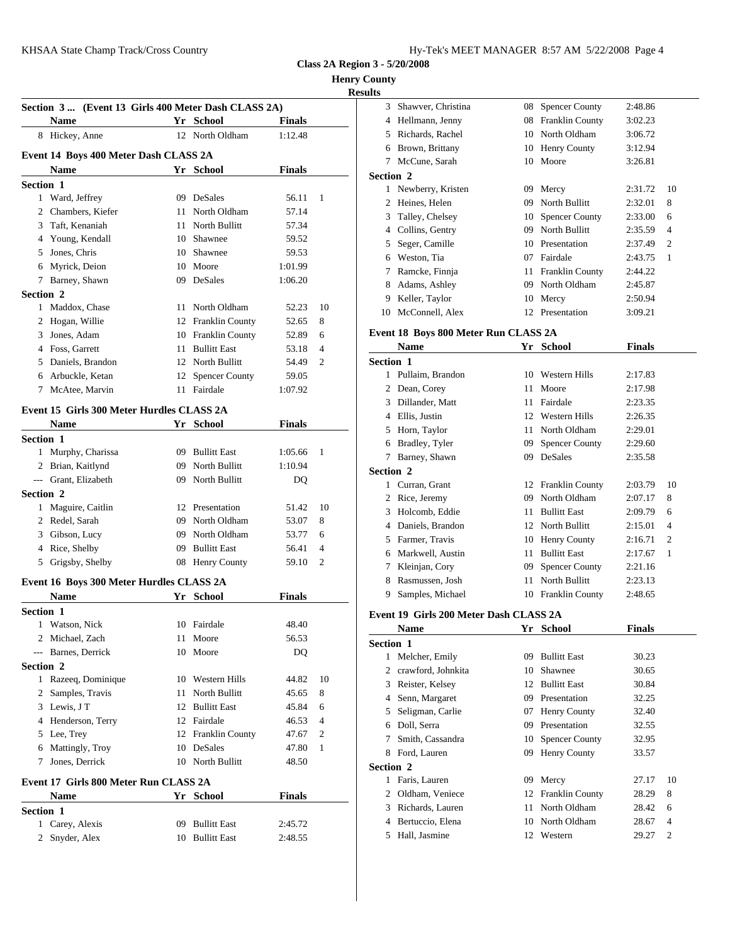**Henry County**

# <u>esu</u>

|                  |                                                     |                    |               |              | <b>Results</b> |                      |
|------------------|-----------------------------------------------------|--------------------|---------------|--------------|----------------|----------------------|
|                  | Section 3  (Event 13 Girls 400 Meter Dash CLASS 2A) |                    |               |              | 3              | Shawver, 0           |
|                  | Name                                                | Yr School          | <b>Finals</b> |              | $\overline{4}$ | Hellmann,            |
|                  | 8 Hickey, Anne                                      | 12 North Oldham    | 1:12.48       |              | 5              | Richards, I          |
|                  | Event 14 Boys 400 Meter Dash CLASS 2A               |                    |               |              | 6              | Brown, Br            |
|                  | <b>Name</b>                                         | Yr School          | <b>Finals</b> |              | 7              | McCune, S            |
| <b>Section 1</b> |                                                     |                    |               |              | Section 2      |                      |
|                  | 1 Ward, Jeffrey                                     | 09 DeSales         | 56.11         | 1            |                | 1 Newberry,          |
|                  | 2 Chambers, Kiefer                                  | 11 North Oldham    | 57.14         |              |                | 2 Heines, He         |
|                  | 3 Taft, Kenaniah                                    | 11 North Bullitt   | 57.34         |              | 3              | Talley, Ch           |
|                  | 4 Young, Kendall                                    | 10 Shawnee         | 59.52         |              | $\overline{4}$ | Collins, Go          |
|                  | 5 Jones, Chris                                      | 10 Shawnee         | 59.53         |              | 5              | Seger, Can           |
|                  | 6 Myrick, Deion                                     | 10 Moore           | 1:01.99       |              |                | 6 Weston, T          |
|                  | 7 Barney, Shawn                                     | 09 DeSales         | 1:06.20       |              |                | Ramcke, F            |
| Section 2        |                                                     |                    |               |              | 8              | Adams, As            |
|                  | 1 Maddox, Chase                                     | 11 North Oldham    | 52.23         | 10           |                | 9 Keller, Tav        |
|                  | 2 Hogan, Willie                                     | 12 Franklin County | 52.65         | 8            |                | 10 McConnel          |
| 3                | Jones, Adam                                         | 10 Franklin County | 52.89         | 6            |                | <b>Event 18 Boys</b> |
|                  | 4 Foss, Garrett                                     | 11 Bullitt East    | 53.18         | 4            |                | Name                 |
|                  | 5 Daniels, Brandon                                  | 12 North Bullitt   | 54.49         | 2            | Section 1      |                      |
|                  | 6 Arbuckle, Ketan                                   | 12 Spencer County  | 59.05         |              |                | 1 Pullaim, B         |
| 7                | McAtee, Marvin                                      | 11 Fairdale        | 1:07.92       |              |                | 2 Dean, Core         |
|                  |                                                     |                    |               |              |                | 3 Dillander.         |
|                  | Event 15 Girls 300 Meter Hurdles CLASS 2A           |                    |               |              |                | 4 Ellis, Justi:      |
|                  | <b>Name</b>                                         | Yr School          | <b>Finals</b> |              | 5              | Horn, Tayl           |
| Section 1        |                                                     |                    |               |              |                | 6 Bradley, T         |
|                  | 1 Murphy, Charissa                                  | 09 Bullitt East    | 1:05.66       | 1            |                | 7 Barney, Sh         |
|                  | 2 Brian, Kaitlynd                                   | 09 North Bullitt   | 1:10.94       |              | Section 2      |                      |
|                  | --- Grant, Elizabeth                                | 09 North Bullitt   | DQ            |              |                | 1 Curran, Gr         |
| <b>Section 2</b> |                                                     |                    |               |              |                | Rice, Jerer          |
|                  | 1 Maguire, Caitlin                                  | 12 Presentation    | 51.42         | 10           | 3              | Holcomb,             |
|                  | 2 Redel, Sarah                                      | 09 North Oldham    | 53.07         | 8            |                | 4 Daniels, B         |
|                  | 3 Gibson, Lucy                                      | 09 North Oldham    | 53.77         | 6            |                | 5 Farmer, Tr         |
|                  | 4 Rice, Shelby                                      | 09 Bullitt East    | 56.41         | 4            |                | 6 Markwell,          |
| 5                | Grigsby, Shelby                                     | 08 Henry County    | 59.10         | 2            | 7              | Kleinjan, O          |
|                  | Event 16 Boys 300 Meter Hurdles CLASS 2A            |                    |               |              | 8              | Rasmusser            |
|                  | <b>Name</b>                                         | Yr School          | <b>Finals</b> |              | 9              | Samples, N           |
| Section 1        |                                                     |                    |               |              |                |                      |
|                  | 1 Watson, Nick                                      | 10 Fairdale        | 48.40         |              |                | Event 19 Girls       |
|                  | 2 Michael, Zach                                     | 11 Moore           | 56.53         |              |                | <b>Name</b>          |
|                  | --- Barnes, Derrick                                 | 10 Moore           | DQ            |              | Section 1      |                      |
| Section 2        |                                                     |                    |               |              |                | 1 Melcher, E         |
|                  | 1 Razeeq, Dominique                                 | 10 Western Hills   | 44.82         | 10           |                | 2 crawford,          |
|                  | 2 Samples, Travis                                   | 11 North Bullitt   | 45.65         | 8            |                | 3 Reister, Ko        |
|                  | 3 Lewis, JT                                         | 12 Bullitt East    | 45.84         | 6            |                | 4 Senn, Mar          |
|                  | 4 Henderson, Terry                                  | 12 Fairdale        | 46.53         | 4            |                | 5 Seligman,          |
|                  | 5 Lee, Trey                                         | 12 Franklin County | 47.67         | 2            |                | 6 Doll, Serra        |
|                  | 6 Mattingly, Troy                                   | 10 DeSales         | 47.80         | $\mathbf{1}$ | 7              | Smith, Cas           |
|                  | 7 Jones, Derrick                                    | 10 North Bullitt   | 48.50         |              |                | 8 Ford, Laur         |
|                  |                                                     |                    |               |              | Section 2      |                      |
|                  | Event 17 Girls 800 Meter Run CLASS 2A               |                    |               |              |                | 1 Faris, Laur        |
|                  | <b>Name</b>                                         | Yr School          | <b>Finals</b> |              |                | 2 Oldham, V          |
| Section 1        |                                                     |                    |               |              |                | 3 Richards, l        |
|                  | 1 Carey, Alexis                                     | 09 Bullitt East    | 2:45.72       |              | 4              | Bertuccio,           |
|                  | 2 Snyder, Alex                                      | 10 Bullitt East    | 2:48.55       |              |                | 5 Hall, Jasm         |
|                  |                                                     |                    |               |              |                |                      |
|                  |                                                     |                    |               |              |                |                      |

| lts            |                                        |    |                       |               |                |
|----------------|----------------------------------------|----|-----------------------|---------------|----------------|
|                | 3 Shawver, Christina                   |    | 08 Spencer County     | 2:48.86       |                |
|                | 4 Hellmann, Jenny                      |    | 08 Franklin County    | 3:02.23       |                |
|                | 5 Richards, Rachel                     |    | 10 North Oldham       | 3:06.72       |                |
|                | 6 Brown, Brittany                      |    | 10 Henry County       | 3:12.94       |                |
|                | 7 McCune, Sarah                        |    | 10 Moore              | 3:26.81       |                |
|                | <b>Section 2</b>                       |    |                       |               |                |
|                | 1 Newberry, Kristen                    |    | 09 Mercy              | 2:31.72       | 10             |
|                | 2 Heines, Helen                        | 09 | North Bullitt         | 2:32.01       | 8              |
|                | 3 Talley, Chelsey                      | 10 | <b>Spencer County</b> | 2:33.00       | 6              |
|                | 4 Collins, Gentry                      |    | 09 North Bullitt      | 2:35.59       | $\overline{4}$ |
|                | 5 Seger, Camille                       |    | 10 Presentation       | 2:37.49       | $\overline{2}$ |
|                | 6 Weston, Tia                          |    | 07 Fairdale           | 2:43.75       | 1              |
|                | 7 Ramcke, Finnja                       |    | 11 Franklin County    | 2:44.22       |                |
|                | 8 Adams, Ashley                        | 09 | North Oldham          | 2:45.87       |                |
|                | 9 Keller, Taylor                       |    | 10 Mercy              | 2:50.94       |                |
|                | 10 McConnell, Alex                     |    | 12 Presentation       | 3:09.21       |                |
|                | Event 18 Boys 800 Meter Run CLASS 2A   |    |                       |               |                |
|                | <b>Name</b>                            |    | Yr School             | <b>Finals</b> |                |
|                | Section 1                              |    |                       |               |                |
|                | 1 Pullaim, Brandon                     | 10 | <b>Western Hills</b>  | 2:17.83       |                |
|                | 2 Dean, Corey                          | 11 | Moore                 | 2:17.98       |                |
|                | 3 Dillander, Matt                      | 11 | Fairdale              | 2:23.35       |                |
|                | 4 Ellis, Justin                        | 12 | Western Hills         | 2:26.35       |                |
|                | 5 Horn, Taylor                         | 11 | North Oldham          | 2:29.01       |                |
|                | 6 Bradley, Tyler                       | 09 | <b>Spencer County</b> | 2:29.60       |                |
|                | 7 Barney, Shawn                        |    | 09 DeSales            | 2:35.58       |                |
|                | <b>Section 2</b>                       |    |                       |               |                |
|                | 1 Curran, Grant                        |    | 12 Franklin County    | 2:03.79       | 10             |
|                | 2 Rice, Jeremy                         |    | 09 North Oldham       | 2:07.17       | 8              |
|                | 3 Holcomb, Eddie                       | 11 | <b>Bullitt East</b>   | 2:09.79       | 6              |
|                | 4 Daniels, Brandon                     |    | 12 North Bullitt      | 2:15.01       | 4              |
|                | 5 Farmer, Travis                       |    | 10 Henry County       | 2:16.71       | 2              |
|                | 6 Markwell, Austin                     | 11 | <b>Bullitt East</b>   | 2:17.67       | 1              |
|                | 7 Kleinjan, Cory                       | 09 | <b>Spencer County</b> | 2:21.16       |                |
|                | 8 Rasmussen, Josh                      | 11 | North Bullitt         | 2:23.13       |                |
| 9.             | Samples, Michael                       |    | 10 Franklin County    | 2:48.65       |                |
|                | Event 19 Girls 200 Meter Dash CLASS 2A |    |                       |               |                |
|                | Name                                   |    | Yr School             | <b>Finals</b> |                |
|                | <b>Section 1</b>                       |    |                       |               |                |
|                | 1 Melcher, Emily                       | 09 | <b>Bullitt East</b>   | 30.23         |                |
|                | 2 crawford, Johnkita                   | 10 | Shawnee               | 30.65         |                |
|                | 3 Reister, Kelsey                      | 12 | <b>Bullitt East</b>   | 30.84         |                |
| $\overline{4}$ | Senn, Margaret                         |    | 09 Presentation       | 32.25         |                |
| 5              | Seligman, Carlie                       | 07 | Henry County          | 32.40         |                |
| 6              | Doll, Serra                            | 09 | Presentation          | 32.55         |                |
| 7              | Smith, Cassandra                       | 10 | <b>Spencer County</b> | 32.95         |                |
|                | 8 Ford, Lauren                         | 09 | Henry County          | 33.57         |                |
|                | Section 2                              |    |                       |               |                |
| 1              | Faris, Lauren                          |    | 09 Mercy              | 27.17         | 10             |
| $\overline{2}$ | Oldham, Veniece                        |    | 12 Franklin County    | 28.29         | 8              |
|                | 3 Richards, Lauren                     | 11 | North Oldham          | 28.42         | 6              |
|                | 4 Bertuccio, Elena                     |    | 10 North Oldham       | 28.67         | 4              |
|                | 5 Hall, Jasmine                        |    | 12 Western            | 29.27         | 2              |
|                |                                        |    |                       |               |                |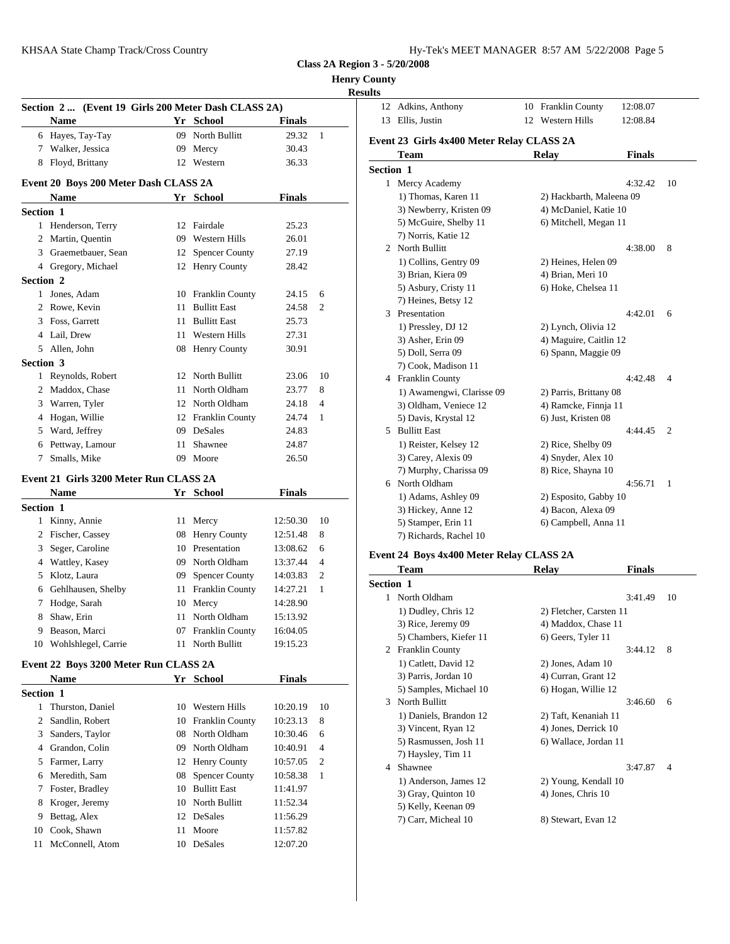|  | <b>Henry County</b> |  |
|--|---------------------|--|
|--|---------------------|--|

**Results**

|                  |                                                     |    |                     |               |                | results                          |
|------------------|-----------------------------------------------------|----|---------------------|---------------|----------------|----------------------------------|
|                  | Section 2  (Event 19 Girls 200 Meter Dash CLASS 2A) |    |                     |               |                | 12 Adkir                         |
|                  | <b>Name</b>                                         |    | Yr School           | <b>Finals</b> |                | 13<br>Ellis.                     |
|                  | 6 Hayes, Tay-Tay                                    |    | 09 North Bullitt    | 29.32         | $\mathbf{1}$   |                                  |
|                  | 7 Walker, Jessica                                   |    | 09 Mercy            | 30.43         |                | Event 23 G                       |
|                  | 8 Floyd, Brittany                                   |    | 12 Western          | 36.33         |                | Tean                             |
|                  |                                                     |    |                     |               |                | Section 1                        |
|                  | Event 20 Boys 200 Meter Dash CLASS 2A               |    |                     |               |                | 1 Mercy                          |
|                  | <b>Name</b>                                         |    | Yr School           | <b>Finals</b> |                | $1)$ Th                          |
| Section 1        |                                                     |    |                     |               |                | $3)$ Ne<br>5) Mo                 |
|                  | 1 Henderson, Terry                                  |    | 12 Fairdale         | 25.23         |                |                                  |
|                  | 2 Martin, Quentin                                   |    | 09 Western Hills    | 26.01         |                | 7) No<br>North<br>$\overline{2}$ |
|                  | 3 Graemetbauer, Sean                                |    | 12 Spencer County   | 27.19         |                | $1)$ Co                          |
|                  | 4 Gregory, Michael                                  |    | 12 Henry County     | 28.42         |                | 3) Bri                           |
| Section 2        |                                                     |    |                     |               |                | $5)$ As                          |
|                  | 1 Jones, Adam                                       |    | 10 Franklin County  | 24.15         | 6              | $7)$ He                          |
|                  | 2 Rowe, Kevin                                       | 11 | <b>Bullitt East</b> | 24.58         | 2              | Presei<br>3                      |
|                  | 3 Foss, Garrett                                     |    | 11 Bullitt East     | 25.73         |                | $1)$ Pre                         |
|                  | 4 Lail, Drew                                        |    | 11 Western Hills    | 27.31         |                | $3)$ As                          |
| 5                | Allen, John                                         |    | 08 Henry County     | 30.91         |                | 5) Do                            |
| Section 3        |                                                     |    |                     |               |                | $7)$ Co                          |
|                  | 1 Reynolds, Robert                                  |    | 12 North Bullitt    | 23.06         | 10             | 4 Frank                          |
|                  | 2 Maddox, Chase                                     |    | 11 North Oldham     | 23.77         | 8              | $1)$ Av                          |
| 3                | Warren, Tyler                                       |    | 12 North Oldham     | 24.18         | $\overline{4}$ | $3)$ Olo                         |
| 4                | Hogan, Willie                                       |    | 12 Franklin County  | 24.74         | 1              | 5) Da                            |
| 5                | Ward, Jeffrey                                       |    | 09 DeSales          | 24.83         |                | 5 Bullit                         |
| 6                | Pettway, Lamour                                     | 11 | Shawnee             | 24.87         |                | $1)$ Re                          |
| 7                | Smalls, Mike                                        |    | 09 Moore            | 26.50         |                | $3)$ Ca                          |
|                  |                                                     |    |                     |               |                | 7) Mu                            |
|                  | Event 21 Girls 3200 Meter Run CLASS 2A              |    |                     |               |                | 6 North                          |
|                  | <b>Name</b>                                         |    | Yr School           | <b>Finals</b> |                | $1)$ Ad                          |
| <b>Section 1</b> |                                                     |    |                     |               |                | $3)$ Hio                         |
|                  | 1 Kinny, Annie                                      |    | 11 Mercy            | 12:50.30      | 10             | 5) Sta                           |
|                  | 2 Fischer, Cassey                                   |    | 08 Henry County     | 12:51.48      | 8              | 7) Rio                           |
| 3                | Seger, Caroline                                     |    | 10 Presentation     | 13:08.62      | 6              | Event 24 B                       |
|                  | 4 Wattley, Kasey                                    |    | 09 North Oldham     | 13:37.44      | 4              | Tean                             |
|                  |                                                     |    |                     |               |                |                                  |

## 5 Klotz, Laura  $\begin{array}{|l|l|} 09 & \text{Spencer County} & 14:03.83 & 2 \\ 6 & \text{Geblbungen Sholby} & 11 & \text{Franklin County} & 14:27.21 & 1 \end{array}$ 6 Gehlhausen, Shelby 11 Franklin County 14:27.21 1 7 Hodge, Sarah 10 Mercy 14:28.90 8 Shaw, Erin 11 North Oldham 15:13.92 9 Beason, Marci 07 Franklin County 16:04.05

10 Wohlshlegel, Carrie 11 North Bullitt 19:15.23

# **Event 22 Boys 3200 Meter Run CLASS 2A**

 $\overline{\phantom{a}}$ 

|                  | <b>Name</b>       |    | Yr School          | <b>Finals</b> |                |   | 3) Pai         |
|------------------|-------------------|----|--------------------|---------------|----------------|---|----------------|
| <b>Section 1</b> |                   |    |                    |               |                |   | 5) Sai         |
| 1                | Thurston, Daniel  |    | 10 Western Hills   | 10:20.19      | 10             |   | 3 North        |
|                  | 2 Sandlin, Robert |    | 10 Franklin County | 10:23.13      | 8              |   | $1)$ Da        |
|                  | 3 Sanders, Taylor |    | 08 North Oldham    | 10:30.46      | 6              |   | 3) Vii         |
|                  | 4 Grandon, Colin  |    | 09 North Oldham    | 10:40.91      | $\overline{4}$ |   | 5) Ra          |
|                  | 5 Farmer, Larry   |    | 12 Henry County    | 10:57.05      | 2              | 4 | 7) Ha<br>Shaw: |
|                  | 6 Meredith, Sam   |    | 08 Spencer County  | 10:58.38      | 1              |   | $1)$ An        |
|                  | 7 Foster, Bradley |    | 10 Bullitt East    | 11:41.97      |                |   | $3)$ Gra       |
|                  | 8 Kroger, Jeremy  |    | 10 North Bullitt   | 11:52.34      |                |   | 5) Ke          |
| 9                | Bettag, Alex      |    | 12 DeSales         | 11:56.29      |                |   | 7) Ca          |
| 10               | Cook, Shawn       | 11 | Moore              | 11:57.82      |                |   |                |
| 11               | McConnell, Atom   | 10 | DeSales            | 12:07.20      |                |   |                |

|                  | 12 Adkins, Anthony                        | 10 Franklin County       | 12:08.07      |                |
|------------------|-------------------------------------------|--------------------------|---------------|----------------|
|                  | 13 Ellis, Justin                          | 12 Western Hills         | 12:08.84      |                |
|                  | Event 23 Girls 4x400 Meter Relay CLASS 2A |                          |               |                |
|                  | <b>Team</b>                               | <b>Relay</b>             | <b>Finals</b> |                |
| <b>Section 1</b> |                                           |                          |               |                |
|                  | 1 Mercy Academy                           |                          | 4:32.42       | 10             |
|                  | 1) Thomas, Karen 11                       | 2) Hackbarth, Maleena 09 |               |                |
|                  | 3) Newberry, Kristen 09                   | 4) McDaniel, Katie 10    |               |                |
|                  | 5) McGuire, Shelby 11                     | 6) Mitchell, Megan 11    |               |                |
|                  | 7) Norris, Katie 12                       |                          |               |                |
|                  | 2 North Bullitt                           |                          | 4:38.00       | 8              |
|                  | 1) Collins, Gentry 09                     | 2) Heines, Helen 09      |               |                |
|                  | 3) Brian, Kiera 09                        | 4) Brian, Meri 10        |               |                |
|                  | 5) Asbury, Cristy 11                      | 6) Hoke, Chelsea 11      |               |                |
|                  | 7) Heines, Betsy 12                       |                          |               |                |
|                  | 3 Presentation                            |                          | 4:42.01       | 6              |
|                  | 1) Pressley, DJ 12                        | 2) Lynch, Olivia 12      |               |                |
|                  | 3) Asher, Erin 09                         | 4) Maguire, Caitlin 12   |               |                |
|                  | 5) Doll, Serra 09                         | 6) Spann, Maggie 09      |               |                |
|                  | 7) Cook, Madison 11                       |                          |               |                |
|                  | 4 Franklin County                         |                          | 4:42.48       | $\overline{4}$ |
|                  | 1) Awamengwi, Clarisse 09                 | 2) Parris, Brittany 08   |               |                |
|                  | 3) Oldham, Veniece 12                     | 4) Ramcke, Finnja 11     |               |                |
|                  | 5) Davis, Krystal 12                      | 6) Just, Kristen 08      |               |                |
|                  | 5 Bullitt East                            |                          | 4:44.45       | 2              |
|                  | 1) Reister, Kelsey 12                     | 2) Rice, Shelby 09       |               |                |
|                  | 3) Carey, Alexis 09                       | 4) Snyder, Alex 10       |               |                |
|                  | 7) Murphy, Charissa 09                    | 8) Rice, Shayna 10       |               |                |
|                  | 6 North Oldham                            |                          | 4:56.71       | 1              |
|                  | 1) Adams, Ashley 09                       | 2) Esposito, Gabby 10    |               |                |
|                  | 3) Hickey, Anne 12                        | 4) Bacon, Alexa 09       |               |                |
|                  | 5) Stamper, Erin 11                       | 6) Campbell, Anna 11     |               |                |
|                  | 7) Richards, Rachel 10                    |                          |               |                |
|                  |                                           |                          |               |                |

# **Event 24 Boys 4x400 Meter Relay CLASS 2A**

|                  | <b>Team</b>            | Relav                   | <b>Finals</b> |                |
|------------------|------------------------|-------------------------|---------------|----------------|
| <b>Section 1</b> |                        |                         |               |                |
| 1.               | North Oldham           |                         | 3:41.49       | 10             |
|                  | 1) Dudley, Chris 12    | 2) Fletcher, Carsten 11 |               |                |
|                  | 3) Rice, Jeremy 09     | 4) Maddox, Chase 11     |               |                |
|                  | 5) Chambers, Kiefer 11 | 6) Geers, Tyler 11      |               |                |
| 2                | <b>Franklin County</b> |                         | 3:44.12       | 8              |
|                  | 1) Catlett, David 12   | 2) Jones, Adam 10       |               |                |
|                  | 3) Parris, Jordan 10   | 4) Curran, Grant 12     |               |                |
|                  | 5) Samples, Michael 10 | 6) Hogan, Willie 12     |               |                |
| 3                | North Bullitt          |                         | 3:46.60       | 6              |
|                  | 1) Daniels, Brandon 12 | 2) Taft, Kenaniah 11    |               |                |
|                  | 3) Vincent, Ryan 12    | 4) Jones, Derrick 10    |               |                |
|                  | 5) Rasmussen, Josh 11  | 6) Wallace, Jordan 11   |               |                |
|                  | 7) Haysley, Tim 11     |                         |               |                |
| 4                | Shawnee                |                         | 3:47.87       | $\overline{4}$ |
|                  | 1) Anderson, James 12  | 2) Young, Kendall 10    |               |                |
|                  | 3) Gray, Quinton 10    | 4) Jones, Chris 10      |               |                |
|                  | 5) Kelly, Keenan 09    |                         |               |                |
|                  | 7) Carr, Micheal 10    | 8) Stewart, Evan 12     |               |                |